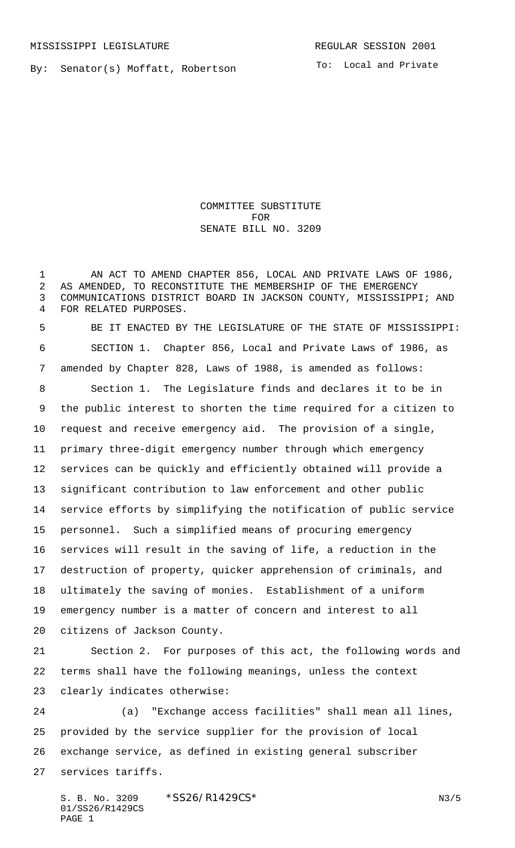By: Senator(s) Moffatt, Robertson

COMMITTEE SUBSTITUTE FOR SENATE BILL NO. 3209

 AN ACT TO AMEND CHAPTER 856, LOCAL AND PRIVATE LAWS OF 1986, AS AMENDED, TO RECONSTITUTE THE MEMBERSHIP OF THE EMERGENCY COMMUNICATIONS DISTRICT BOARD IN JACKSON COUNTY, MISSISSIPPI; AND FOR RELATED PURPOSES. BE IT ENACTED BY THE LEGISLATURE OF THE STATE OF MISSISSIPPI: SECTION 1. Chapter 856, Local and Private Laws of 1986, as amended by Chapter 828, Laws of 1988, is amended as follows: Section 1. The Legislature finds and declares it to be in the public interest to shorten the time required for a citizen to request and receive emergency aid. The provision of a single, primary three-digit emergency number through which emergency services can be quickly and efficiently obtained will provide a significant contribution to law enforcement and other public service efforts by simplifying the notification of public service personnel. Such a simplified means of procuring emergency services will result in the saving of life, a reduction in the destruction of property, quicker apprehension of criminals, and ultimately the saving of monies. Establishment of a uniform emergency number is a matter of concern and interest to all citizens of Jackson County. Section 2. For purposes of this act, the following words and

 terms shall have the following meanings, unless the context clearly indicates otherwise:

 (a) "Exchange access facilities" shall mean all lines, provided by the service supplier for the provision of local exchange service, as defined in existing general subscriber services tariffs.

S. B. No. 3209 \* SS26/R1429CS\* N3/5 01/SS26/R1429CS PAGE 1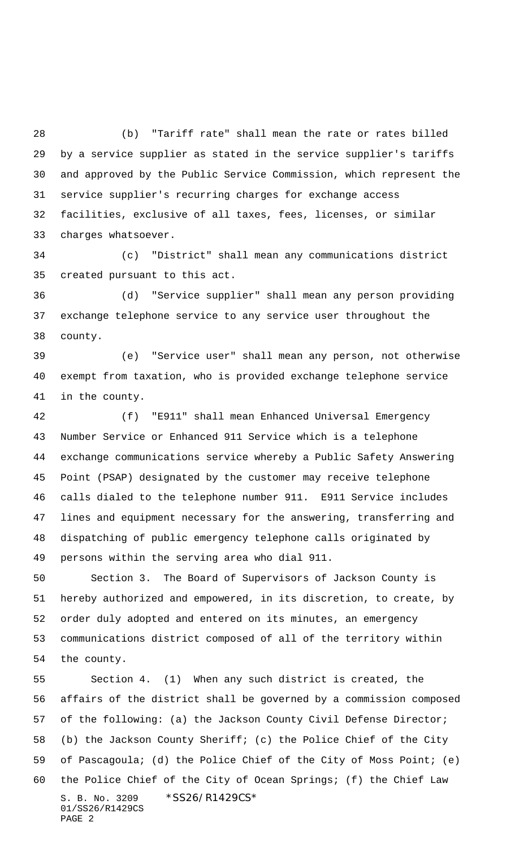(b) "Tariff rate" shall mean the rate or rates billed by a service supplier as stated in the service supplier's tariffs and approved by the Public Service Commission, which represent the service supplier's recurring charges for exchange access facilities, exclusive of all taxes, fees, licenses, or similar charges whatsoever.

 (c) "District" shall mean any communications district created pursuant to this act.

 (d) "Service supplier" shall mean any person providing exchange telephone service to any service user throughout the county.

 (e) "Service user" shall mean any person, not otherwise exempt from taxation, who is provided exchange telephone service in the county.

 (f) "E911" shall mean Enhanced Universal Emergency Number Service or Enhanced 911 Service which is a telephone exchange communications service whereby a Public Safety Answering Point (PSAP) designated by the customer may receive telephone calls dialed to the telephone number 911. E911 Service includes lines and equipment necessary for the answering, transferring and dispatching of public emergency telephone calls originated by persons within the serving area who dial 911.

 Section 3. The Board of Supervisors of Jackson County is hereby authorized and empowered, in its discretion, to create, by order duly adopted and entered on its minutes, an emergency communications district composed of all of the territory within the county.

S. B. No. 3209 \*SS26/R1429CS\* 01/SS26/R1429CS PAGE 2 Section 4. (1) When any such district is created, the affairs of the district shall be governed by a commission composed of the following: (a) the Jackson County Civil Defense Director; (b) the Jackson County Sheriff; (c) the Police Chief of the City of Pascagoula; (d) the Police Chief of the City of Moss Point; (e) the Police Chief of the City of Ocean Springs; (f) the Chief Law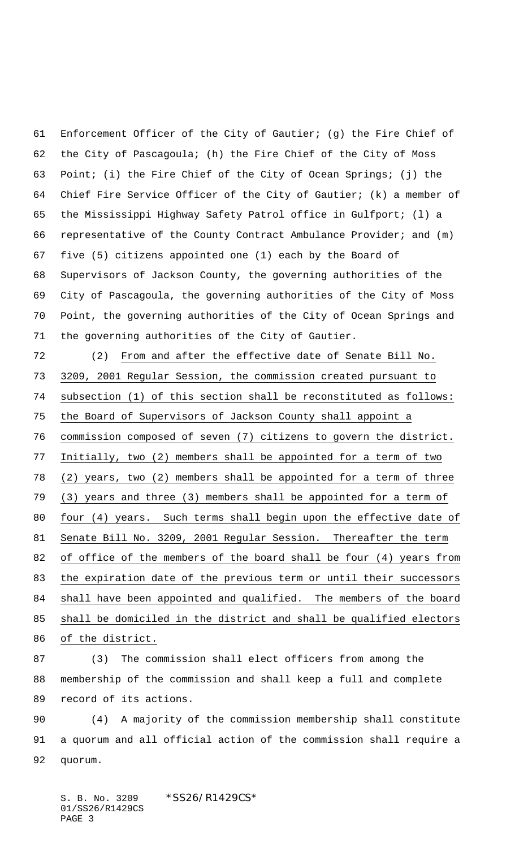Enforcement Officer of the City of Gautier; (g) the Fire Chief of the City of Pascagoula; (h) the Fire Chief of the City of Moss Point; (i) the Fire Chief of the City of Ocean Springs; (j) the Chief Fire Service Officer of the City of Gautier; (k) a member of the Mississippi Highway Safety Patrol office in Gulfport; (l) a representative of the County Contract Ambulance Provider; and (m) five (5) citizens appointed one (1) each by the Board of Supervisors of Jackson County, the governing authorities of the City of Pascagoula, the governing authorities of the City of Moss Point, the governing authorities of the City of Ocean Springs and the governing authorities of the City of Gautier.

 (2) From and after the effective date of Senate Bill No. 3209, 2001 Regular Session, the commission created pursuant to subsection (1) of this section shall be reconstituted as follows: the Board of Supervisors of Jackson County shall appoint a commission composed of seven (7) citizens to govern the district. Initially, two (2) members shall be appointed for a term of two (2) years, two (2) members shall be appointed for a term of three (3) years and three (3) members shall be appointed for a term of four (4) years. Such terms shall begin upon the effective date of Senate Bill No. 3209, 2001 Regular Session. Thereafter the term of office of the members of the board shall be four (4) years from the expiration date of the previous term or until their successors shall have been appointed and qualified. The members of the board shall be domiciled in the district and shall be qualified electors of the district.

 (3) The commission shall elect officers from among the membership of the commission and shall keep a full and complete record of its actions.

 (4) A majority of the commission membership shall constitute a quorum and all official action of the commission shall require a quorum.

S. B. No. 3209 \*SS26/R1429CS\* 01/SS26/R1429CS PAGE 3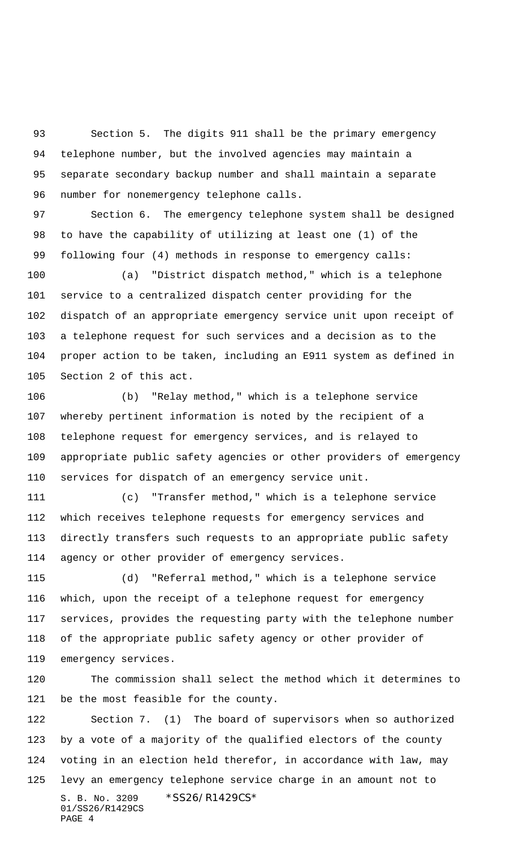Section 5. The digits 911 shall be the primary emergency telephone number, but the involved agencies may maintain a separate secondary backup number and shall maintain a separate number for nonemergency telephone calls.

 Section 6. The emergency telephone system shall be designed to have the capability of utilizing at least one (1) of the following four (4) methods in response to emergency calls:

 (a) "District dispatch method," which is a telephone service to a centralized dispatch center providing for the dispatch of an appropriate emergency service unit upon receipt of a telephone request for such services and a decision as to the proper action to be taken, including an E911 system as defined in Section 2 of this act.

 (b) "Relay method," which is a telephone service whereby pertinent information is noted by the recipient of a telephone request for emergency services, and is relayed to appropriate public safety agencies or other providers of emergency services for dispatch of an emergency service unit.

 (c) "Transfer method," which is a telephone service which receives telephone requests for emergency services and directly transfers such requests to an appropriate public safety agency or other provider of emergency services.

 (d) "Referral method," which is a telephone service which, upon the receipt of a telephone request for emergency services, provides the requesting party with the telephone number of the appropriate public safety agency or other provider of emergency services.

 The commission shall select the method which it determines to be the most feasible for the county.

S. B. No. 3209 \* SS26/R1429CS\* 01/SS26/R1429CS PAGE 4 Section 7. (1) The board of supervisors when so authorized by a vote of a majority of the qualified electors of the county voting in an election held therefor, in accordance with law, may levy an emergency telephone service charge in an amount not to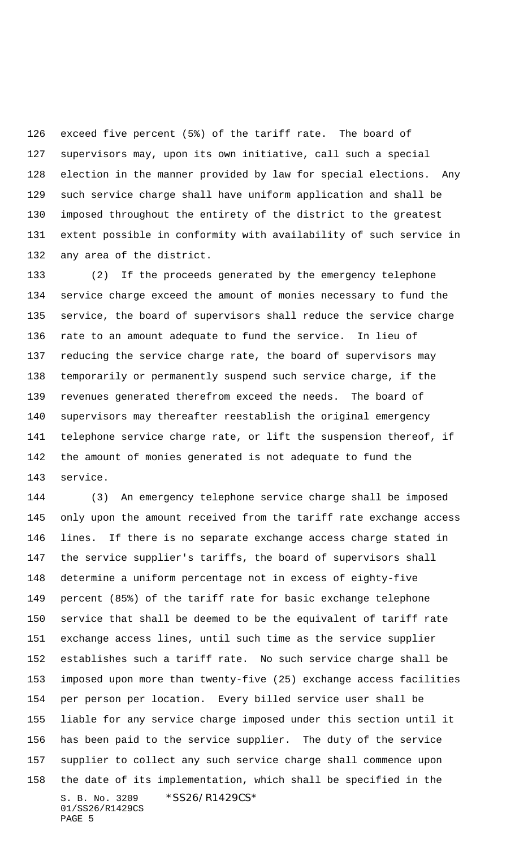exceed five percent (5%) of the tariff rate. The board of supervisors may, upon its own initiative, call such a special election in the manner provided by law for special elections. Any such service charge shall have uniform application and shall be imposed throughout the entirety of the district to the greatest extent possible in conformity with availability of such service in any area of the district.

 (2) If the proceeds generated by the emergency telephone service charge exceed the amount of monies necessary to fund the service, the board of supervisors shall reduce the service charge rate to an amount adequate to fund the service. In lieu of reducing the service charge rate, the board of supervisors may temporarily or permanently suspend such service charge, if the revenues generated therefrom exceed the needs. The board of supervisors may thereafter reestablish the original emergency telephone service charge rate, or lift the suspension thereof, if the amount of monies generated is not adequate to fund the service.

S. B. No. 3209 \*SS26/R1429CS\* 01/SS26/R1429CS PAGE 5 (3) An emergency telephone service charge shall be imposed only upon the amount received from the tariff rate exchange access lines. If there is no separate exchange access charge stated in the service supplier's tariffs, the board of supervisors shall determine a uniform percentage not in excess of eighty-five percent (85%) of the tariff rate for basic exchange telephone service that shall be deemed to be the equivalent of tariff rate exchange access lines, until such time as the service supplier establishes such a tariff rate. No such service charge shall be imposed upon more than twenty-five (25) exchange access facilities per person per location. Every billed service user shall be liable for any service charge imposed under this section until it has been paid to the service supplier. The duty of the service supplier to collect any such service charge shall commence upon the date of its implementation, which shall be specified in the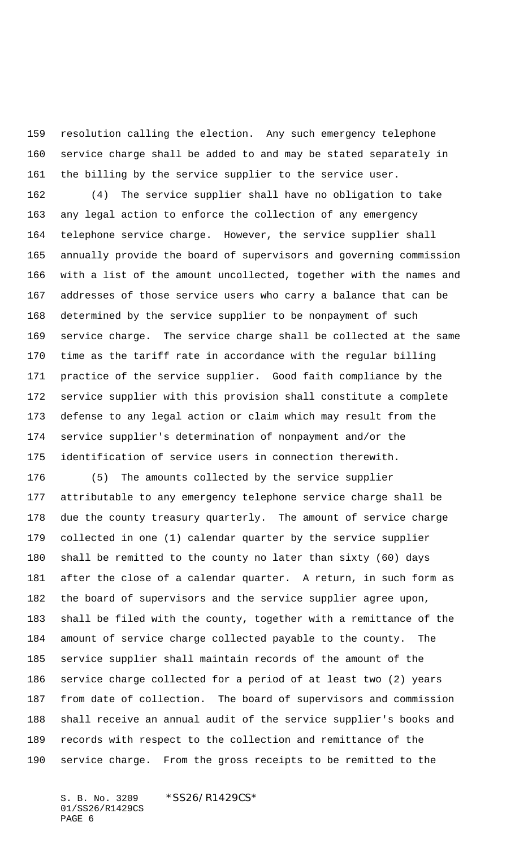resolution calling the election. Any such emergency telephone service charge shall be added to and may be stated separately in the billing by the service supplier to the service user.

 (4) The service supplier shall have no obligation to take any legal action to enforce the collection of any emergency telephone service charge. However, the service supplier shall annually provide the board of supervisors and governing commission with a list of the amount uncollected, together with the names and addresses of those service users who carry a balance that can be determined by the service supplier to be nonpayment of such service charge. The service charge shall be collected at the same time as the tariff rate in accordance with the regular billing practice of the service supplier. Good faith compliance by the service supplier with this provision shall constitute a complete defense to any legal action or claim which may result from the service supplier's determination of nonpayment and/or the identification of service users in connection therewith.

 (5) The amounts collected by the service supplier attributable to any emergency telephone service charge shall be due the county treasury quarterly. The amount of service charge collected in one (1) calendar quarter by the service supplier shall be remitted to the county no later than sixty (60) days after the close of a calendar quarter. A return, in such form as the board of supervisors and the service supplier agree upon, shall be filed with the county, together with a remittance of the amount of service charge collected payable to the county. The service supplier shall maintain records of the amount of the service charge collected for a period of at least two (2) years from date of collection. The board of supervisors and commission shall receive an annual audit of the service supplier's books and records with respect to the collection and remittance of the service charge. From the gross receipts to be remitted to the

S. B. No. 3209 \*SS26/R1429CS\* 01/SS26/R1429CS PAGE 6